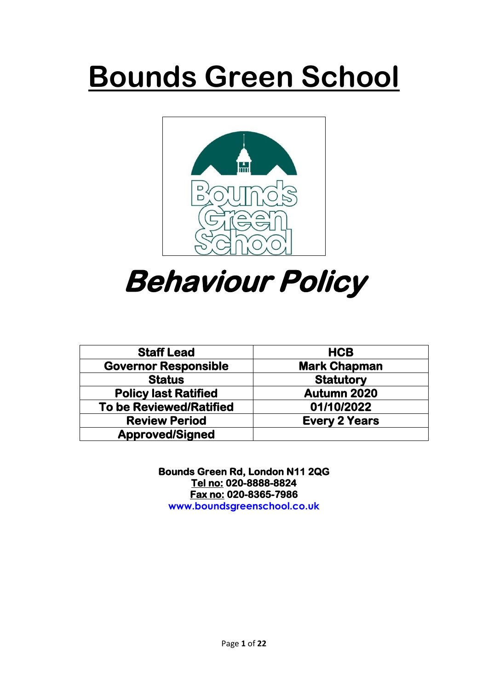# **Bounds Green School**



# **Behaviour Policy**

| <b>Staff Lead</b>              | <b>HCB</b>           |
|--------------------------------|----------------------|
| <b>Governor Responsible</b>    | <b>Mark Chapman</b>  |
| <b>Status</b>                  | <b>Statutory</b>     |
| <b>Policy last Ratified</b>    | Autumn 2020          |
| <b>To be Reviewed/Ratified</b> | 01/10/2022           |
| <b>Review Period</b>           | <b>Every 2 Years</b> |
| <b>Approved/Signed</b>         |                      |

**Bounds Green Rd, London N11 2QG Tel no: 020-8888-8824 Fax no: 020-8365-7986 www.boundsgreenschool.co.uk**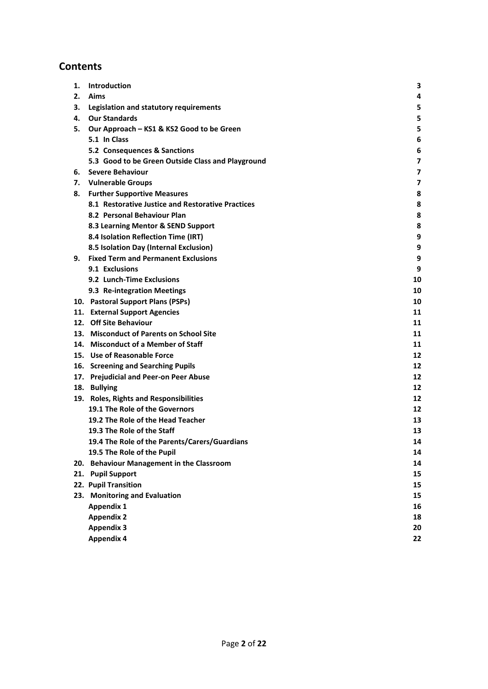## **Contents**

| 1. | Introduction                                      | 3  |
|----|---------------------------------------------------|----|
| 2. | Aims                                              | 4  |
| З. | Legislation and statutory requirements            | 5  |
| 4. | <b>Our Standards</b>                              | 5  |
| 5. | Our Approach - KS1 & KS2 Good to be Green         | 5  |
|    | 5.1 In Class                                      | 6  |
|    | 5.2 Consequences & Sanctions                      | 6  |
|    | 5.3 Good to be Green Outside Class and Playground | 7  |
| 6. | <b>Severe Behaviour</b>                           | 7  |
| 7. | <b>Vulnerable Groups</b>                          | 7  |
| 8. | <b>Further Supportive Measures</b>                | 8  |
|    | 8.1 Restorative Justice and Restorative Practices | 8  |
|    | 8.2 Personal Behaviour Plan                       | 8  |
|    | 8.3 Learning Mentor & SEND Support                | 8  |
|    | 8.4 Isolation Reflection Time (IRT)               | 9  |
|    | 8.5 Isolation Day (Internal Exclusion)            | 9  |
| 9. | <b>Fixed Term and Permanent Exclusions</b>        | 9  |
|    | 9.1 Exclusions                                    | 9  |
|    | 9.2 Lunch-Time Exclusions                         | 10 |
|    | 9.3 Re-integration Meetings                       | 10 |
|    | 10. Pastoral Support Plans (PSPs)                 | 10 |
|    | 11. External Support Agencies                     | 11 |
|    | 12. Off Site Behaviour                            | 11 |
|    | 13. Misconduct of Parents on School Site          | 11 |
|    | 14. Misconduct of a Member of Staff               | 11 |
|    | 15. Use of Reasonable Force                       | 12 |
|    | 16. Screening and Searching Pupils                | 12 |
|    | 17. Prejudicial and Peer-on Peer Abuse            | 12 |
|    | 18. Bullying                                      | 12 |
|    | 19. Roles, Rights and Responsibilities            | 12 |
|    | 19.1 The Role of the Governors                    | 12 |
|    | 19.2 The Role of the Head Teacher                 | 13 |
|    | 19.3 The Role of the Staff                        | 13 |
|    | 19.4 The Role of the Parents/Carers/Guardians     | 14 |
|    | 19.5 The Role of the Pupil                        | 14 |
|    | 20. Behaviour Management in the Classroom         | 14 |
|    | 21. Pupil Support                                 | 15 |
|    | 22. Pupil Transition                              | 15 |
|    | 23. Monitoring and Evaluation                     | 15 |
|    | <b>Appendix 1</b>                                 | 16 |
|    | <b>Appendix 2</b>                                 | 18 |
|    | <b>Appendix 3</b>                                 | 20 |
|    | <b>Appendix 4</b>                                 | 22 |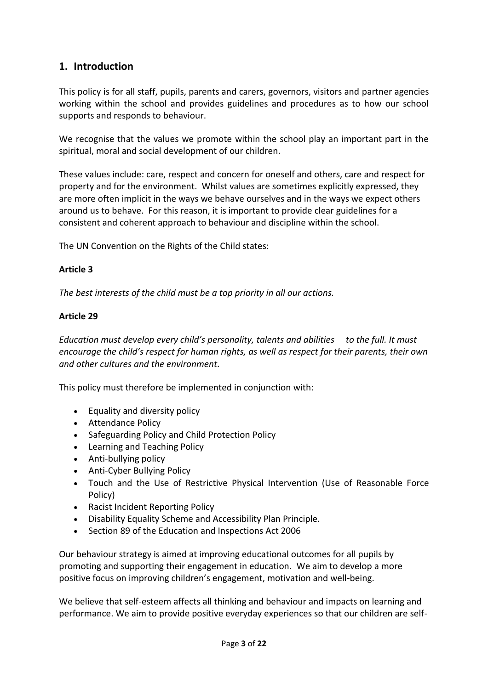## **1. Introduction**

This policy is for all staff, pupils, parents and carers, governors, visitors and partner agencies working within the school and provides guidelines and procedures as to how our school supports and responds to behaviour.

We recognise that the values we promote within the school play an important part in the spiritual, moral and social development of our children.

These values include: care, respect and concern for oneself and others, care and respect for property and for the environment. Whilst values are sometimes explicitly expressed, they are more often implicit in the ways we behave ourselves and in the ways we expect others around us to behave. For this reason, it is important to provide clear guidelines for a consistent and coherent approach to behaviour and discipline within the school.

The UN Convention on the Rights of the Child states:

#### **Article 3**

*The best interests of the child must be a top priority in all our actions.* 

#### **Article 29**

*Education must develop every child's personality, talents and abilities to the full. It must encourage the child's respect for human rights, as well as respect for their parents, their own and other cultures and the environment.*

This policy must therefore be implemented in conjunction with:

- Equality and diversity policy
- Attendance Policy
- Safeguarding Policy and Child Protection Policy
- Learning and Teaching Policy
- Anti-bullying policy
- Anti-Cyber Bullying Policy
- Touch and the Use of Restrictive Physical Intervention (Use of Reasonable Force Policy)
- Racist Incident Reporting Policy
- Disability Equality Scheme and Accessibility Plan Principle.
- Section 89 of the Education and Inspections Act 2006

Our behaviour strategy is aimed at improving educational outcomes for all pupils by promoting and supporting their engagement in education. We aim to develop a more positive focus on improving children's engagement, motivation and well-being.

We believe that self-esteem affects all thinking and behaviour and impacts on learning and performance. We aim to provide positive everyday experiences so that our children are self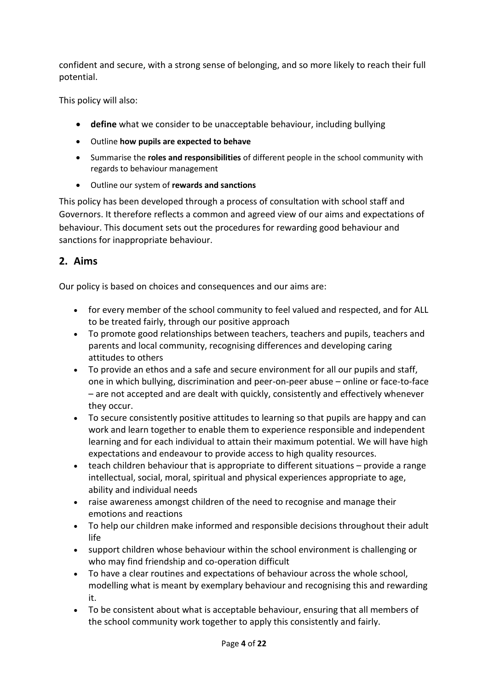confident and secure, with a strong sense of belonging, and so more likely to reach their full potential.

This policy will also:

- **define** what we consider to be unacceptable behaviour, including bullying
- Outline **how pupils are expected to behave**
- Summarise the **roles and responsibilities** of different people in the school community with regards to behaviour management
- Outline our system of **rewards and sanctions**

This policy has been developed through a process of consultation with school staff and Governors. It therefore reflects a common and agreed view of our aims and expectations of behaviour. This document sets out the procedures for rewarding good behaviour and sanctions for inappropriate behaviour.

## **2. Aims**

Our policy is based on choices and consequences and our aims are:

- for every member of the school community to feel valued and respected, and for ALL to be treated fairly, through our positive approach
- To promote good relationships between teachers, teachers and pupils, teachers and parents and local community, recognising differences and developing caring attitudes to others
- To provide an ethos and a safe and secure environment for all our pupils and staff, one in which bullying, discrimination and peer-on-peer abuse – online or face-to-face – are not accepted and are dealt with quickly, consistently and effectively whenever they occur.
- To secure consistently positive attitudes to learning so that pupils are happy and can work and learn together to enable them to experience responsible and independent learning and for each individual to attain their maximum potential. We will have high expectations and endeavour to provide access to high quality resources.
- teach children behaviour that is appropriate to different situations provide a range intellectual, social, moral, spiritual and physical experiences appropriate to age, ability and individual needs
- raise awareness amongst children of the need to recognise and manage their emotions and reactions
- To help our children make informed and responsible decisions throughout their adult life
- support children whose behaviour within the school environment is challenging or who may find friendship and co-operation difficult
- To have a clear routines and expectations of behaviour across the whole school, modelling what is meant by exemplary behaviour and recognising this and rewarding it.
- To be consistent about what is acceptable behaviour, ensuring that all members of the school community work together to apply this consistently and fairly.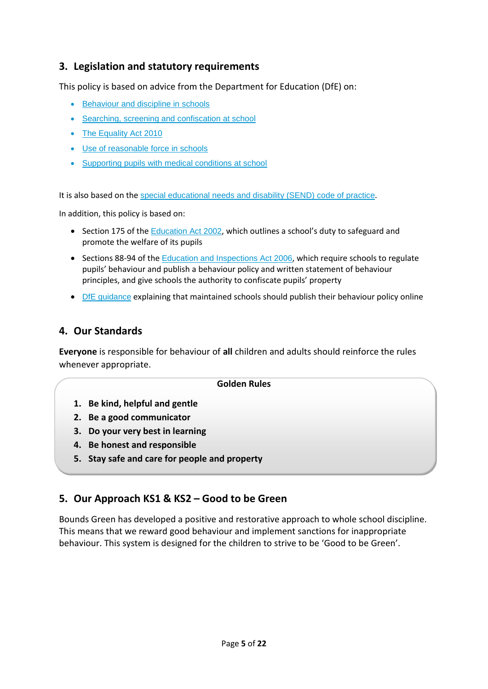## **3. Legislation and statutory requirements**

This policy is based on advice from the Department for Education (DfE) on:

- [Behaviour and discipline in schools](https://www.gov.uk/government/publications/behaviour-and-discipline-in-schools)
- [Searching, screening and confiscation at school](https://www.gov.uk/government/publications/searching-screening-and-confiscation)
- [The Equality Act 2010](https://www.gov.uk/government/publications/equality-act-2010-advice-for-schools)
- [Use of reasonable force in schools](https://www.gov.uk/government/publications/use-of-reasonable-force-in-schools)
- [Supporting pupils with medical conditions at school](https://www.gov.uk/government/publications/supporting-pupils-at-school-with-medical-conditions--3)

It is also based on the [special educational needs and disability \(SEND\) code of practice](https://www.gov.uk/government/publications/send-code-of-practice-0-to-25).

In addition, this policy is based on:

- Section 175 of the [Education Act 2002](http://www.legislation.gov.uk/ukpga/2002/32/section/175), which outlines a school's duty to safeguard and promote the welfare of its pupils
- Sections 88-94 of the [Education and Inspections Act 2006](http://www.legislation.gov.uk/ukpga/2006/40/section/88), which require schools to regulate pupils' behaviour and publish a behaviour policy and written statement of behaviour principles, and give schools the authority to confiscate pupils' property
- [DfE guidance](https://www.gov.uk/guidance/what-maintained-schools-must-publish-online#behaviour-policy) explaining that maintained schools should publish their behaviour policy online

#### **4. Our Standards**

**Everyone** is responsible for behaviour of **all** children and adults should reinforce the rules whenever appropriate.

#### **Golden Rules**

- **1. Be kind, helpful and gentle**
- **2. Be a good communicator**
- **3. Do your very best in learning**
- **4. Be honest and responsible**
- **5. Stay safe and care for people and property**

#### **5. Our Approach KS1 & KS2 – Good to be Green**

Bounds Green has developed a positive and restorative approach to whole school discipline. This means that we reward good behaviour and implement sanctions for inappropriate behaviour. This system is designed for the children to strive to be 'Good to be Green'.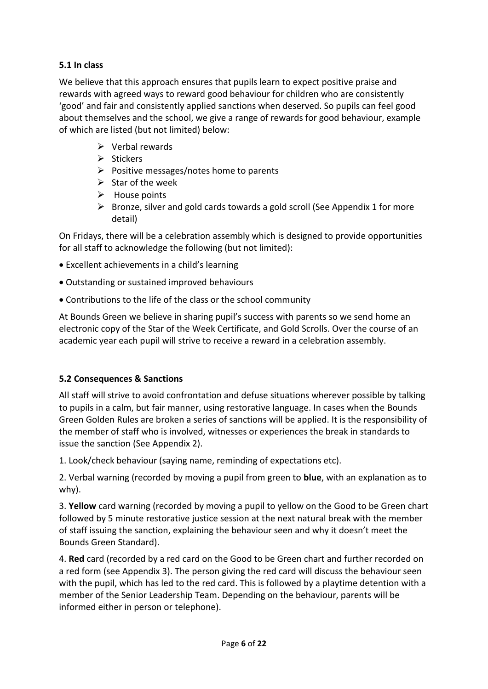#### **5.1 In class**

We believe that this approach ensures that pupils learn to expect positive praise and rewards with agreed ways to reward good behaviour for children who are consistently 'good' and fair and consistently applied sanctions when deserved. So pupils can feel good about themselves and the school, we give a range of rewards for good behaviour, example of which are listed (but not limited) below:

- $\triangleright$  Verbal rewards
- $\triangleright$  Stickers
- $\triangleright$  Positive messages/notes home to parents
- $\triangleright$  Star of the week
- $\triangleright$  House points
- $\triangleright$  Bronze, silver and gold cards towards a gold scroll (See Appendix 1 for more detail)

On Fridays, there will be a celebration assembly which is designed to provide opportunities for all staff to acknowledge the following (but not limited):

- Excellent achievements in a child's learning
- Outstanding or sustained improved behaviours
- Contributions to the life of the class or the school community

At Bounds Green we believe in sharing pupil's success with parents so we send home an electronic copy of the Star of the Week Certificate, and Gold Scrolls. Over the course of an academic year each pupil will strive to receive a reward in a celebration assembly.

#### **5.2 Consequences & Sanctions**

All staff will strive to avoid confrontation and defuse situations wherever possible by talking to pupils in a calm, but fair manner, using restorative language. In cases when the Bounds Green Golden Rules are broken a series of sanctions will be applied. It is the responsibility of the member of staff who is involved, witnesses or experiences the break in standards to issue the sanction (See Appendix 2).

1. Look/check behaviour (saying name, reminding of expectations etc).

2. Verbal warning (recorded by moving a pupil from green to **blue**, with an explanation as to why).

3. **Yellow** card warning (recorded by moving a pupil to yellow on the Good to be Green chart followed by 5 minute restorative justice session at the next natural break with the member of staff issuing the sanction, explaining the behaviour seen and why it doesn't meet the Bounds Green Standard).

4. **Red** card (recorded by a red card on the Good to be Green chart and further recorded on a red form (see Appendix 3). The person giving the red card will discuss the behaviour seen with the pupil, which has led to the red card. This is followed by a playtime detention with a member of the Senior Leadership Team. Depending on the behaviour, parents will be informed either in person or telephone).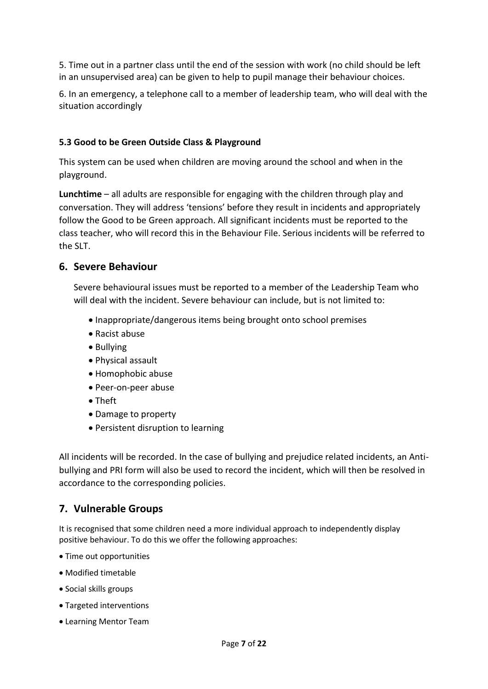5. Time out in a partner class until the end of the session with work (no child should be left in an unsupervised area) can be given to help to pupil manage their behaviour choices.

6. In an emergency, a telephone call to a member of leadership team, who will deal with the situation accordingly

#### **5.3 Good to be Green Outside Class & Playground**

This system can be used when children are moving around the school and when in the playground.

**Lunchtime** – all adults are responsible for engaging with the children through play and conversation. They will address 'tensions' before they result in incidents and appropriately follow the Good to be Green approach. All significant incidents must be reported to the class teacher, who will record this in the Behaviour File. Serious incidents will be referred to the SLT.

#### **6. Severe Behaviour**

Severe behavioural issues must be reported to a member of the Leadership Team who will deal with the incident. Severe behaviour can include, but is not limited to:

- Inappropriate/dangerous items being brought onto school premises
- Racist abuse
- Bullying
- Physical assault
- Homophobic abuse
- Peer-on-peer abuse
- Theft
- Damage to property
- Persistent disruption to learning

All incidents will be recorded. In the case of bullying and prejudice related incidents, an Antibullying and PRI form will also be used to record the incident, which will then be resolved in accordance to the corresponding policies.

## **7. Vulnerable Groups**

It is recognised that some children need a more individual approach to independently display positive behaviour. To do this we offer the following approaches:

- Time out opportunities
- Modified timetable
- Social skills groups
- Targeted interventions
- Learning Mentor Team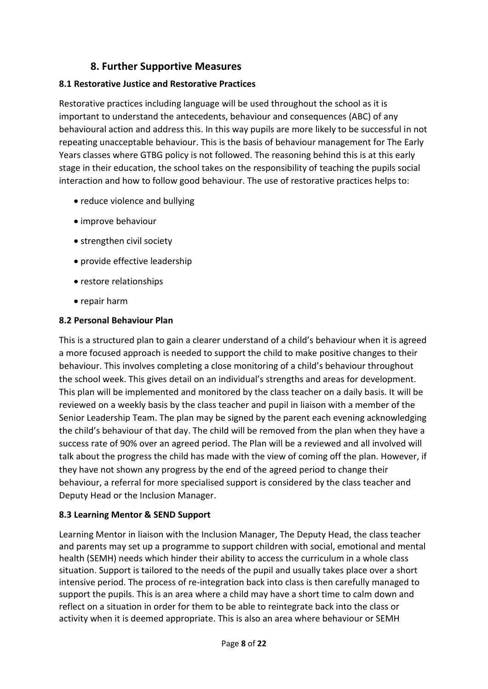## **8. Further Supportive Measures**

#### **8.1 Restorative Justice and Restorative Practices**

Restorative practices including language will be used throughout the school as it is important to understand the antecedents, behaviour and consequences (ABC) of any behavioural action and address this. In this way pupils are more likely to be successful in not repeating unacceptable behaviour. This is the basis of behaviour management for The Early Years classes where GTBG policy is not followed. The reasoning behind this is at this early stage in their education, the school takes on the responsibility of teaching the pupils social interaction and how to follow good behaviour. The use of restorative practices helps to:

- reduce violence and bullying
- improve behaviour
- strengthen civil society
- provide effective leadership
- restore relationships
- repair harm

#### **8.2 Personal Behaviour Plan**

This is a structured plan to gain a clearer understand of a child's behaviour when it is agreed a more focused approach is needed to support the child to make positive changes to their behaviour. This involves completing a close monitoring of a child's behaviour throughout the school week. This gives detail on an individual's strengths and areas for development. This plan will be implemented and monitored by the class teacher on a daily basis. It will be reviewed on a weekly basis by the class teacher and pupil in liaison with a member of the Senior Leadership Team. The plan may be signed by the parent each evening acknowledging the child's behaviour of that day. The child will be removed from the plan when they have a success rate of 90% over an agreed period. The Plan will be a reviewed and all involved will talk about the progress the child has made with the view of coming off the plan. However, if they have not shown any progress by the end of the agreed period to change their behaviour, a referral for more specialised support is considered by the class teacher and Deputy Head or the Inclusion Manager.

#### **8.3 Learning Mentor & SEND Support**

Learning Mentor in liaison with the Inclusion Manager, The Deputy Head, the class teacher and parents may set up a programme to support children with social, emotional and mental health (SEMH) needs which hinder their ability to access the curriculum in a whole class situation. Support is tailored to the needs of the pupil and usually takes place over a short intensive period. The process of re-integration back into class is then carefully managed to support the pupils. This is an area where a child may have a short time to calm down and reflect on a situation in order for them to be able to reintegrate back into the class or activity when it is deemed appropriate. This is also an area where behaviour or SEMH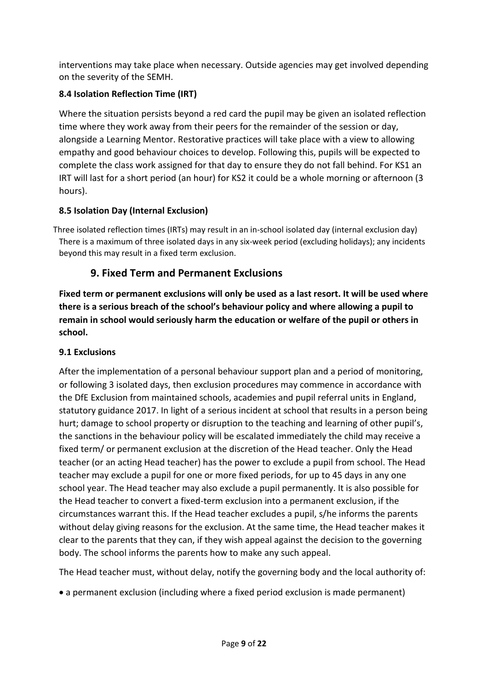interventions may take place when necessary. Outside agencies may get involved depending on the severity of the SEMH.

## **8.4 Isolation Reflection Time (IRT)**

Where the situation persists beyond a red card the pupil may be given an isolated reflection time where they work away from their peers for the remainder of the session or day, alongside a Learning Mentor. Restorative practices will take place with a view to allowing empathy and good behaviour choices to develop. Following this, pupils will be expected to complete the class work assigned for that day to ensure they do not fall behind. For KS1 an IRT will last for a short period (an hour) for KS2 it could be a whole morning or afternoon (3 hours).

## **8.5 Isolation Day (Internal Exclusion)**

Three isolated reflection times (IRTs) may result in an in-school isolated day (internal exclusion day) There is a maximum of three isolated days in any six-week period (excluding holidays); any incidents beyond this may result in a fixed term exclusion.

## **9. Fixed Term and Permanent Exclusions**

**Fixed term or permanent exclusions will only be used as a last resort. It will be used where there is a serious breach of the school's behaviour policy and where allowing a pupil to remain in school would seriously harm the education or welfare of the pupil or others in school.** 

#### **9.1 Exclusions**

After the implementation of a personal behaviour support plan and a period of monitoring, or following 3 isolated days, then exclusion procedures may commence in accordance with the DfE Exclusion from maintained schools, academies and pupil referral units in England, statutory guidance 2017. In light of a serious incident at school that results in a person being hurt; damage to school property or disruption to the teaching and learning of other pupil's, the sanctions in the behaviour policy will be escalated immediately the child may receive a fixed term/ or permanent exclusion at the discretion of the Head teacher. Only the Head teacher (or an acting Head teacher) has the power to exclude a pupil from school. The Head teacher may exclude a pupil for one or more fixed periods, for up to 45 days in any one school year. The Head teacher may also exclude a pupil permanently. It is also possible for the Head teacher to convert a fixed-term exclusion into a permanent exclusion, if the circumstances warrant this. If the Head teacher excludes a pupil, s/he informs the parents without delay giving reasons for the exclusion. At the same time, the Head teacher makes it clear to the parents that they can, if they wish appeal against the decision to the governing body. The school informs the parents how to make any such appeal.

The Head teacher must, without delay, notify the governing body and the local authority of:

a permanent exclusion (including where a fixed period exclusion is made permanent)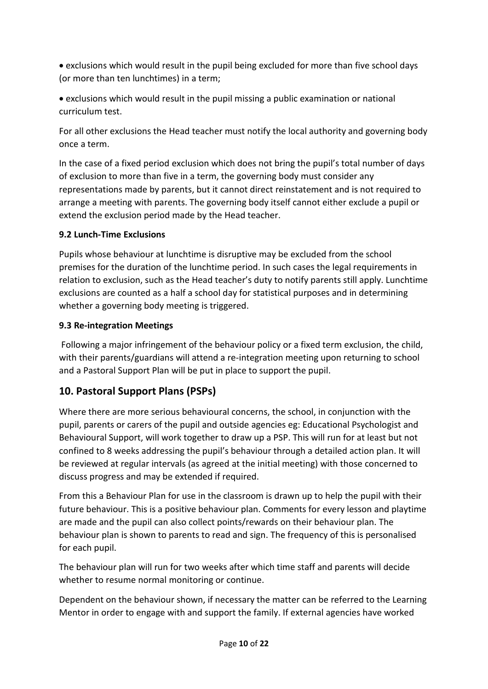• exclusions which would result in the pupil being excluded for more than five school days (or more than ten lunchtimes) in a term;

 exclusions which would result in the pupil missing a public examination or national curriculum test.

For all other exclusions the Head teacher must notify the local authority and governing body once a term.

In the case of a fixed period exclusion which does not bring the pupil's total number of days of exclusion to more than five in a term, the governing body must consider any representations made by parents, but it cannot direct reinstatement and is not required to arrange a meeting with parents. The governing body itself cannot either exclude a pupil or extend the exclusion period made by the Head teacher.

#### **9.2 Lunch-Time Exclusions**

Pupils whose behaviour at lunchtime is disruptive may be excluded from the school premises for the duration of the lunchtime period. In such cases the legal requirements in relation to exclusion, such as the Head teacher's duty to notify parents still apply. Lunchtime exclusions are counted as a half a school day for statistical purposes and in determining whether a governing body meeting is triggered.

#### **9.3 Re-integration Meetings**

Following a major infringement of the behaviour policy or a fixed term exclusion, the child, with their parents/guardians will attend a re-integration meeting upon returning to school and a Pastoral Support Plan will be put in place to support the pupil.

## **10. Pastoral Support Plans (PSPs)**

Where there are more serious behavioural concerns, the school, in conjunction with the pupil, parents or carers of the pupil and outside agencies eg: Educational Psychologist and Behavioural Support, will work together to draw up a PSP. This will run for at least but not confined to 8 weeks addressing the pupil's behaviour through a detailed action plan. It will be reviewed at regular intervals (as agreed at the initial meeting) with those concerned to discuss progress and may be extended if required.

From this a Behaviour Plan for use in the classroom is drawn up to help the pupil with their future behaviour. This is a positive behaviour plan. Comments for every lesson and playtime are made and the pupil can also collect points/rewards on their behaviour plan. The behaviour plan is shown to parents to read and sign. The frequency of this is personalised for each pupil.

The behaviour plan will run for two weeks after which time staff and parents will decide whether to resume normal monitoring or continue.

Dependent on the behaviour shown, if necessary the matter can be referred to the Learning Mentor in order to engage with and support the family. If external agencies have worked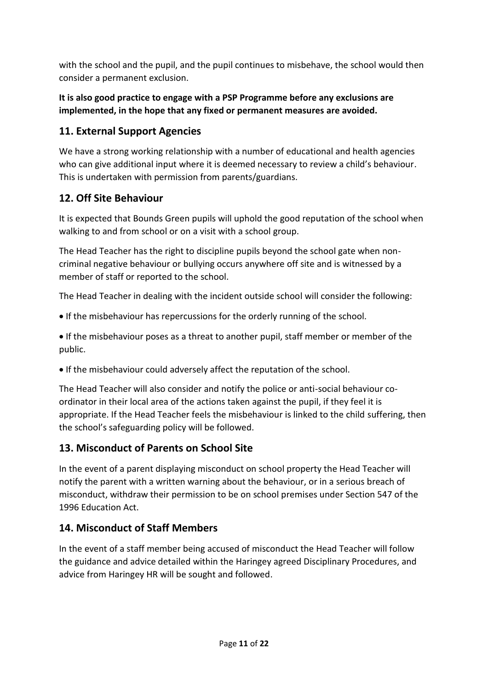with the school and the pupil, and the pupil continues to misbehave, the school would then consider a permanent exclusion.

## **It is also good practice to engage with a PSP Programme before any exclusions are implemented, in the hope that any fixed or permanent measures are avoided.**

## **11. External Support Agencies**

We have a strong working relationship with a number of educational and health agencies who can give additional input where it is deemed necessary to review a child's behaviour. This is undertaken with permission from parents/guardians.

## **12. Off Site Behaviour**

It is expected that Bounds Green pupils will uphold the good reputation of the school when walking to and from school or on a visit with a school group.

The Head Teacher has the right to discipline pupils beyond the school gate when noncriminal negative behaviour or bullying occurs anywhere off site and is witnessed by a member of staff or reported to the school.

The Head Teacher in dealing with the incident outside school will consider the following:

If the misbehaviour has repercussions for the orderly running of the school.

 If the misbehaviour poses as a threat to another pupil, staff member or member of the public.

If the misbehaviour could adversely affect the reputation of the school.

The Head Teacher will also consider and notify the police or anti-social behaviour coordinator in their local area of the actions taken against the pupil, if they feel it is appropriate. If the Head Teacher feels the misbehaviour is linked to the child suffering, then the school's safeguarding policy will be followed.

## **13. Misconduct of Parents on School Site**

In the event of a parent displaying misconduct on school property the Head Teacher will notify the parent with a written warning about the behaviour, or in a serious breach of misconduct, withdraw their permission to be on school premises under Section 547 of the 1996 Education Act.

## **14. Misconduct of Staff Members**

In the event of a staff member being accused of misconduct the Head Teacher will follow the guidance and advice detailed within the Haringey agreed Disciplinary Procedures, and advice from Haringey HR will be sought and followed.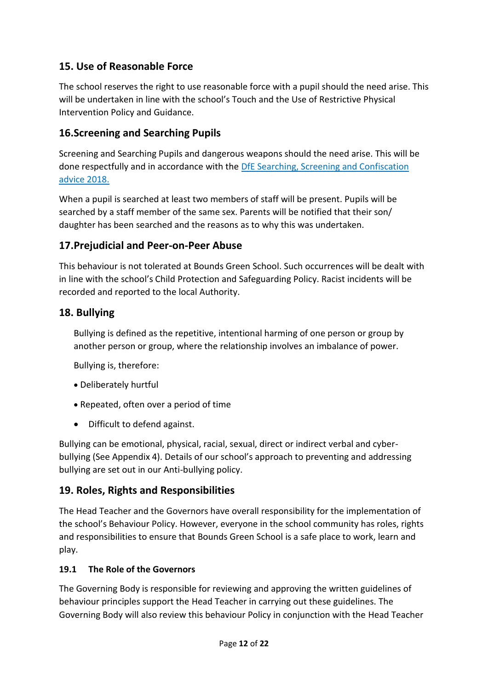## **15. Use of Reasonable Force**

The school reserves the right to use reasonable force with a pupil should the need arise. This will be undertaken in line with the school's Touch and the Use of Restrictive Physical Intervention Policy and Guidance.

## **16.Screening and Searching Pupils**

Screening and Searching Pupils and dangerous weapons should the need arise. This will be done respectfully and in accordance with the DfE Searching, Screening and Confiscation advice 2018.

When a pupil is searched at least two members of staff will be present. Pupils will be searched by a staff member of the same sex. Parents will be notified that their son/ daughter has been searched and the reasons as to why this was undertaken.

## **17.Prejudicial and Peer-on-Peer Abuse**

This behaviour is not tolerated at Bounds Green School. Such occurrences will be dealt with in line with the school's Child Protection and Safeguarding Policy. Racist incidents will be recorded and reported to the local Authority.

## **18. Bullying**

Bullying is defined as the repetitive, intentional harming of one person or group by another person or group, where the relationship involves an imbalance of power.

Bullying is, therefore:

- Deliberately hurtful
- Repeated, often over a period of time
- Difficult to defend against.

Bullying can be emotional, physical, racial, sexual, direct or indirect verbal and cyberbullying (See Appendix 4). Details of our school's approach to preventing and addressing bullying are set out in our Anti-bullying policy.

## **19. Roles, Rights and Responsibilities**

The Head Teacher and the Governors have overall responsibility for the implementation of the school's Behaviour Policy. However, everyone in the school community has roles, rights and responsibilities to ensure that Bounds Green School is a safe place to work, learn and play.

#### **19.1 The Role of the Governors**

The Governing Body is responsible for reviewing and approving the written guidelines of behaviour principles support the Head Teacher in carrying out these guidelines. The Governing Body will also review this behaviour Policy in conjunction with the Head Teacher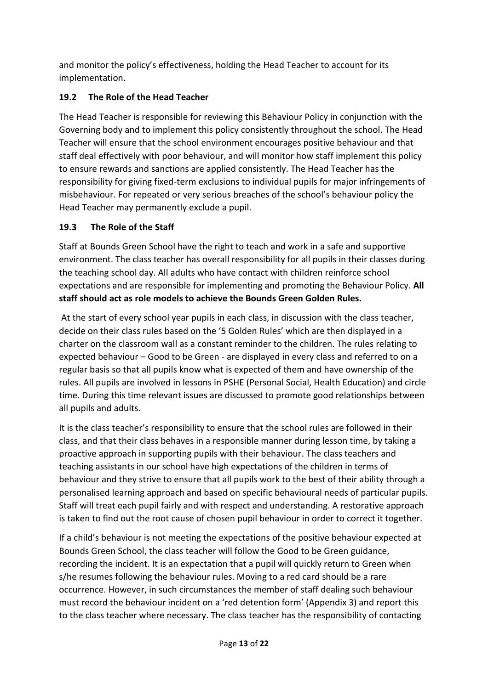and monitor the policy's effectiveness, holding the Head Teacher to account for its implementation.

## **19.2 The Role of the Head Teacher**

The Head Teacher is responsible for reviewing this Behaviour Policy in conjunction with the Governing body and to implement this policy consistently throughout the school. The Head Teacher will ensure that the school environment encourages positive behaviour and that staff deal effectively with poor behaviour, and will monitor how staff implement this policy to ensure rewards and sanctions are applied consistently. The Head Teacher has the responsibility for giving fixed-term exclusions to individual pupils for major infringements of misbehaviour. For repeated or very serious breaches of the school's behaviour policy the Head Teacher may permanently exclude a pupil.

## **19.3 The Role of the Staff**

Staff at Bounds Green School have the right to teach and work in a safe and supportive environment. The class teacher has overall responsibility for all pupils in their classes during the teaching school day. All adults who have contact with children reinforce school expectations and are responsible for implementing and promoting the Behaviour Policy. **All staff should act as role models to achieve the Bounds Green Golden Rules.**

At the start of every school year pupils in each class, in discussion with the class teacher, decide on their class rules based on the '5 Golden Rules' which are then displayed in a charter on the classroom wall as a constant reminder to the children. The rules relating to expected behaviour – Good to be Green - are displayed in every class and referred to on a regular basis so that all pupils know what is expected of them and have ownership of the rules. All pupils are involved in lessons in PSHE (Personal Social, Health Education) and circle time. During this time relevant issues are discussed to promote good relationships between all pupils and adults.

It is the class teacher's responsibility to ensure that the school rules are followed in their class, and that their class behaves in a responsible manner during lesson time, by taking a proactive approach in supporting pupils with their behaviour. The class teachers and teaching assistants in our school have high expectations of the children in terms of behaviour and they strive to ensure that all pupils work to the best of their ability through a personalised learning approach and based on specific behavioural needs of particular pupils. Staff will treat each pupil fairly and with respect and understanding. A restorative approach is taken to find out the root cause of chosen pupil behaviour in order to correct it together.

If a child's behaviour is not meeting the expectations of the positive behaviour expected at Bounds Green School, the class teacher will follow the Good to be Green guidance, recording the incident. It is an expectation that a pupil will quickly return to Green when s/he resumes following the behaviour rules. Moving to a red card should be a rare occurrence. However, in such circumstances the member of staff dealing such behaviour must record the behaviour incident on a 'red detention form' (Appendix 3) and report this to the class teacher where necessary. The class teacher has the responsibility of contacting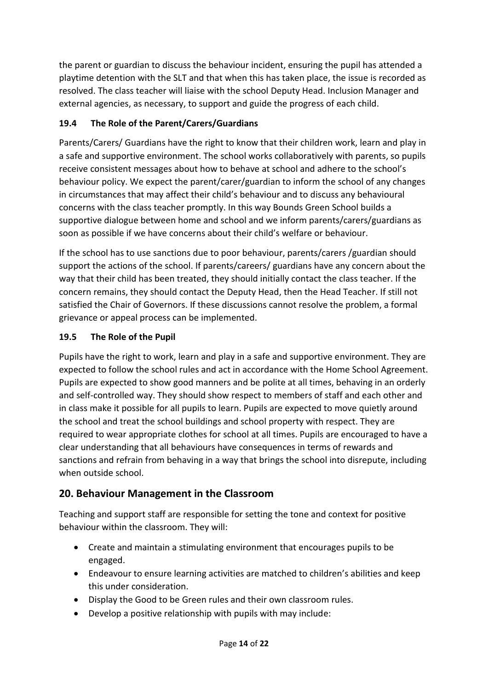the parent or guardian to discuss the behaviour incident, ensuring the pupil has attended a playtime detention with the SLT and that when this has taken place, the issue is recorded as resolved. The class teacher will liaise with the school Deputy Head. Inclusion Manager and external agencies, as necessary, to support and guide the progress of each child.

## **19.4 The Role of the Parent/Carers/Guardians**

Parents/Carers/ Guardians have the right to know that their children work, learn and play in a safe and supportive environment. The school works collaboratively with parents, so pupils receive consistent messages about how to behave at school and adhere to the school's behaviour policy. We expect the parent/carer/guardian to inform the school of any changes in circumstances that may affect their child's behaviour and to discuss any behavioural concerns with the class teacher promptly. In this way Bounds Green School builds a supportive dialogue between home and school and we inform parents/carers/guardians as soon as possible if we have concerns about their child's welfare or behaviour.

If the school has to use sanctions due to poor behaviour, parents/carers /guardian should support the actions of the school. If parents/careers/ guardians have any concern about the way that their child has been treated, they should initially contact the class teacher. If the concern remains, they should contact the Deputy Head, then the Head Teacher. If still not satisfied the Chair of Governors. If these discussions cannot resolve the problem, a formal grievance or appeal process can be implemented.

#### **19.5 The Role of the Pupil**

Pupils have the right to work, learn and play in a safe and supportive environment. They are expected to follow the school rules and act in accordance with the Home School Agreement. Pupils are expected to show good manners and be polite at all times, behaving in an orderly and self-controlled way. They should show respect to members of staff and each other and in class make it possible for all pupils to learn. Pupils are expected to move quietly around the school and treat the school buildings and school property with respect. They are required to wear appropriate clothes for school at all times. Pupils are encouraged to have a clear understanding that all behaviours have consequences in terms of rewards and sanctions and refrain from behaving in a way that brings the school into disrepute, including when outside school.

## **20. Behaviour Management in the Classroom**

Teaching and support staff are responsible for setting the tone and context for positive behaviour within the classroom. They will:

- Create and maintain a stimulating environment that encourages pupils to be engaged.
- Endeavour to ensure learning activities are matched to children's abilities and keep this under consideration.
- Display the Good to be Green rules and their own classroom rules.
- Develop a positive relationship with pupils with may include: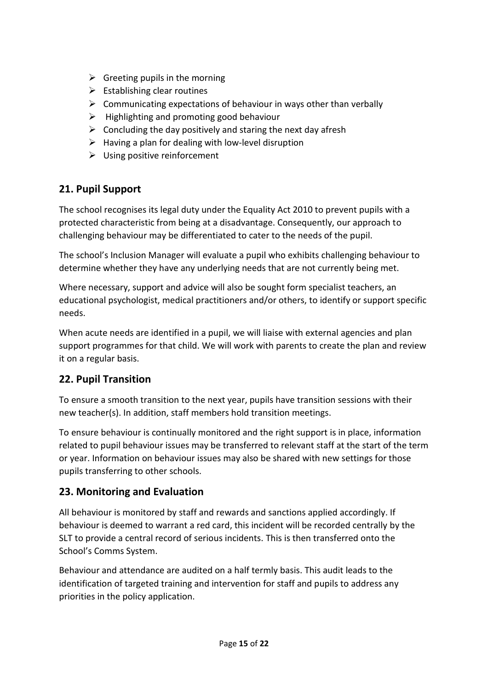- $\triangleright$  Greeting pupils in the morning
- $\triangleright$  Establishing clear routines
- $\triangleright$  Communicating expectations of behaviour in ways other than verbally
- $\triangleright$  Highlighting and promoting good behaviour
- $\triangleright$  Concluding the day positively and staring the next day afresh
- $\triangleright$  Having a plan for dealing with low-level disruption
- $\triangleright$  Using positive reinforcement

## **21. Pupil Support**

The school recognises its legal duty under the Equality Act 2010 to prevent pupils with a protected characteristic from being at a disadvantage. Consequently, our approach to challenging behaviour may be differentiated to cater to the needs of the pupil.

The school's Inclusion Manager will evaluate a pupil who exhibits challenging behaviour to determine whether they have any underlying needs that are not currently being met.

Where necessary, support and advice will also be sought form specialist teachers, an educational psychologist, medical practitioners and/or others, to identify or support specific needs.

When acute needs are identified in a pupil, we will liaise with external agencies and plan support programmes for that child. We will work with parents to create the plan and review it on a regular basis.

## **22. Pupil Transition**

To ensure a smooth transition to the next year, pupils have transition sessions with their new teacher(s). In addition, staff members hold transition meetings.

To ensure behaviour is continually monitored and the right support is in place, information related to pupil behaviour issues may be transferred to relevant staff at the start of the term or year. Information on behaviour issues may also be shared with new settings for those pupils transferring to other schools.

## **23. Monitoring and Evaluation**

All behaviour is monitored by staff and rewards and sanctions applied accordingly. If behaviour is deemed to warrant a red card, this incident will be recorded centrally by the SLT to provide a central record of serious incidents. This is then transferred onto the School's Comms System.

Behaviour and attendance are audited on a half termly basis. This audit leads to the identification of targeted training and intervention for staff and pupils to address any priorities in the policy application.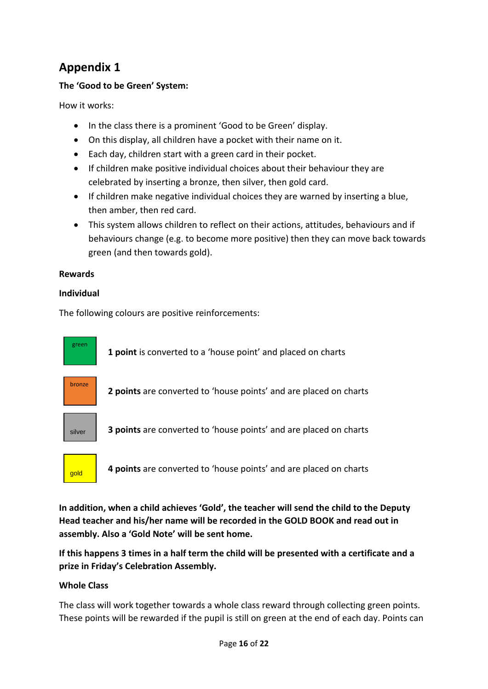## **Appendix 1**

#### **The 'Good to be Green' System:**

How it works:

- In the class there is a prominent 'Good to be Green' display.
- On this display, all children have a pocket with their name on it.
- Each day, children start with a green card in their pocket.
- If children make positive individual choices about their behaviour they are celebrated by inserting a bronze, then silver, then gold card.
- If children make negative individual choices they are warned by inserting a blue, then amber, then red card.
- This system allows children to reflect on their actions, attitudes, behaviours and if behaviours change (e.g. to become more positive) then they can move back towards green (and then towards gold).

#### **Rewards**

#### **Individual**

The following colours are positive reinforcements:





**4 points** are converted to 'house points' and are placed on charts

**In addition, when a child achieves 'Gold', the teacher will send the child to the Deputy Head teacher and his/her name will be recorded in the GOLD BOOK and read out in assembly. Also a 'Gold Note' will be sent home.** 

**If this happens 3 times in a half term the child will be presented with a certificate and a prize in Friday's Celebration Assembly.**

#### **Whole Class**

The class will work together towards a whole class reward through collecting green points. These points will be rewarded if the pupil is still on green at the end of each day. Points can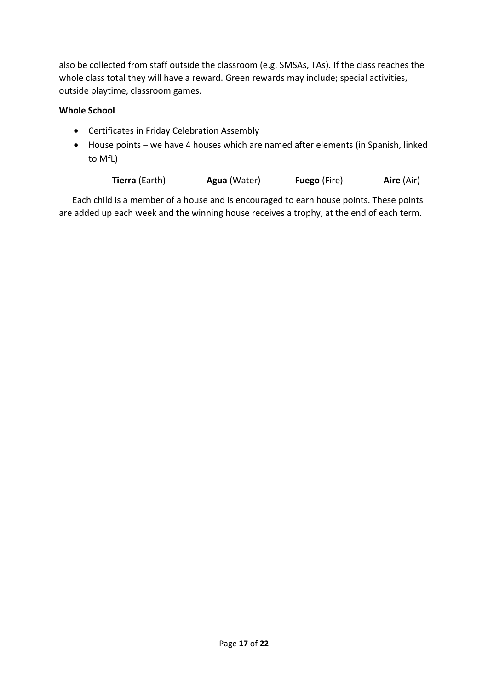also be collected from staff outside the classroom (e.g. SMSAs, TAs). If the class reaches the whole class total they will have a reward. Green rewards may include; special activities, outside playtime, classroom games.

#### **Whole School**

- Certificates in Friday Celebration Assembly
- House points we have 4 houses which are named after elements (in Spanish, linked to MfL)

**Tierra** (Earth) **Agua** (Water) **Fuego** (Fire) **Aire** (Air)

 Each child is a member of a house and is encouraged to earn house points. These points are added up each week and the winning house receives a trophy, at the end of each term.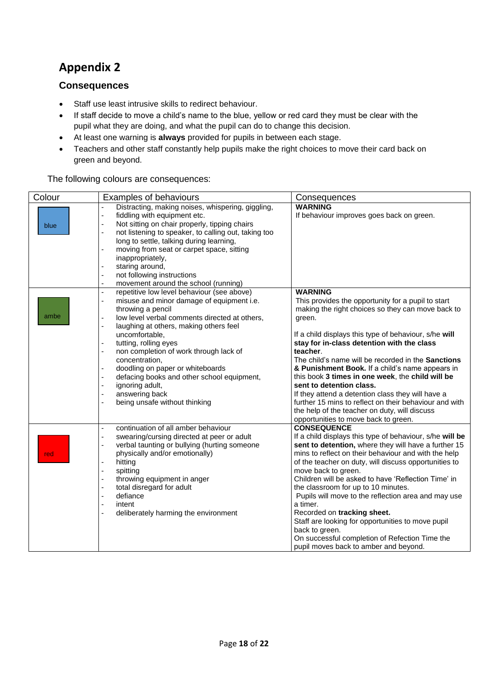# **Appendix 2**

#### **Consequences**

- Staff use least intrusive skills to redirect behaviour.
- If staff decide to move a child's name to the blue, yellow or red card they must be clear with the pupil what they are doing, and what the pupil can do to change this decision.
- At least one warning is **always** provided for pupils in between each stage.
- Teachers and other staff constantly help pupils make the right choices to move their card back on green and beyond.

The following colours are consequences:

| Colour | Examples of behaviours                                                                                                                                                                                                                                                                                                                                                                                                                                                                                                                               | Consequences                                                                                                                                                                                                                                                                                                                                                                                                                                                                                                                                                                                                                                            |
|--------|------------------------------------------------------------------------------------------------------------------------------------------------------------------------------------------------------------------------------------------------------------------------------------------------------------------------------------------------------------------------------------------------------------------------------------------------------------------------------------------------------------------------------------------------------|---------------------------------------------------------------------------------------------------------------------------------------------------------------------------------------------------------------------------------------------------------------------------------------------------------------------------------------------------------------------------------------------------------------------------------------------------------------------------------------------------------------------------------------------------------------------------------------------------------------------------------------------------------|
| blue   | Distracting, making noises, whispering, giggling,<br>fiddling with equipment etc.<br>$\blacksquare$<br>Not sitting on chair properly, tipping chairs<br>not listening to speaker, to calling out, taking too<br>÷,<br>long to settle, talking during learning,<br>moving from seat or carpet space, sitting<br>÷,<br>inappropriately,<br>staring around,<br>÷,<br>not following instructions<br>÷,<br>movement around the school (running)<br>$\blacksquare$                                                                                         | <b>WARNING</b><br>If behaviour improves goes back on green.                                                                                                                                                                                                                                                                                                                                                                                                                                                                                                                                                                                             |
| ambe   | repetitive low level behaviour (see above)<br>$\blacksquare$<br>misuse and minor damage of equipment i.e.<br>÷,<br>throwing a pencil<br>low level verbal comments directed at others,<br>$\overline{a}$<br>laughing at others, making others feel<br>ä,<br>uncomfortable.<br>tutting, rolling eyes<br>÷,<br>non completion of work through lack of<br>÷,<br>concentration,<br>doodling on paper or whiteboards<br>÷,<br>defacing books and other school equipment,<br>÷,<br>ignoring adult,<br>answering back<br>being unsafe without thinking<br>÷, | <b>WARNING</b><br>This provides the opportunity for a pupil to start<br>making the right choices so they can move back to<br>green.<br>If a child displays this type of behaviour, s/he will<br>stay for in-class detention with the class<br>teacher.<br>The child's name will be recorded in the Sanctions<br>& Punishment Book. If a child's name appears in<br>this book 3 times in one week, the child will be<br>sent to detention class.<br>If they attend a detention class they will have a<br>further 15 mins to reflect on their behaviour and with<br>the help of the teacher on duty, will discuss<br>opportunities to move back to green. |
| red    | continuation of all amber behaviour<br>ä,<br>swearing/cursing directed at peer or adult<br>÷,<br>verbal taunting or bullying (hurting someone<br>÷,<br>physically and/or emotionally)<br>hitting<br>$\blacksquare$<br>spitting<br>÷,<br>throwing equipment in anger<br>$\overline{a}$<br>total disregard for adult<br>$\overline{a}$<br>defiance<br>÷,<br>intent<br>÷,<br>deliberately harming the environment                                                                                                                                       | <b>CONSEQUENCE</b><br>If a child displays this type of behaviour, s/he will be<br>sent to detention, where they will have a further 15<br>mins to reflect on their behaviour and with the help<br>of the teacher on duty, will discuss opportunities to<br>move back to green.<br>Children will be asked to have 'Reflection Time' in<br>the classroom for up to 10 minutes.<br>Pupils will move to the reflection area and may use<br>a timer.<br>Recorded on tracking sheet.<br>Staff are looking for opportunities to move pupil<br>back to green.<br>On successful completion of Refection Time the<br>pupil moves back to amber and beyond.        |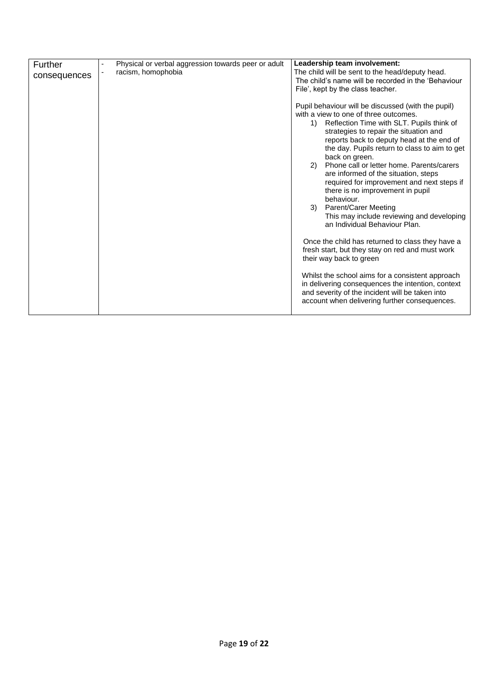| Further      | Physical or verbal aggression towards peer or adult | Leadership team involvement:                                                                                                                                                                                                                                                                                                                                                                                                                                                                                                      |
|--------------|-----------------------------------------------------|-----------------------------------------------------------------------------------------------------------------------------------------------------------------------------------------------------------------------------------------------------------------------------------------------------------------------------------------------------------------------------------------------------------------------------------------------------------------------------------------------------------------------------------|
| consequences | racism, homophobia                                  | The child will be sent to the head/deputy head.                                                                                                                                                                                                                                                                                                                                                                                                                                                                                   |
|              |                                                     | The child's name will be recorded in the 'Behaviour                                                                                                                                                                                                                                                                                                                                                                                                                                                                               |
|              |                                                     | File', kept by the class teacher.                                                                                                                                                                                                                                                                                                                                                                                                                                                                                                 |
|              |                                                     |                                                                                                                                                                                                                                                                                                                                                                                                                                                                                                                                   |
|              |                                                     | Pupil behaviour will be discussed (with the pupil)<br>with a view to one of three outcomes.<br>Reflection Time with SLT. Pupils think of<br>1)<br>strategies to repair the situation and<br>reports back to deputy head at the end of<br>the day. Pupils return to class to aim to get<br>back on green.<br>Phone call or letter home. Parents/carers<br>2)<br>are informed of the situation, steps<br>required for improvement and next steps if<br>there is no improvement in pupil<br>behaviour.<br>Parent/Carer Meeting<br>3) |
|              |                                                     | This may include reviewing and developing<br>an Individual Behaviour Plan.                                                                                                                                                                                                                                                                                                                                                                                                                                                        |
|              |                                                     | Once the child has returned to class they have a<br>fresh start, but they stay on red and must work<br>their way back to green                                                                                                                                                                                                                                                                                                                                                                                                    |
|              |                                                     | Whilst the school aims for a consistent approach<br>in delivering consequences the intention, context<br>and severity of the incident will be taken into<br>account when delivering further consequences.                                                                                                                                                                                                                                                                                                                         |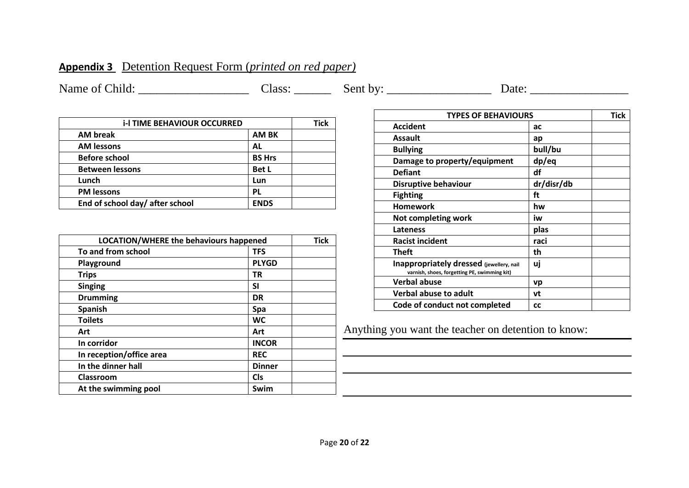## **Appendix 3** Detention Request Form (*printed on red paper)*

Name of Child: \_\_\_\_\_\_\_\_\_\_\_\_\_\_\_\_\_\_ Class: \_\_\_\_\_\_ Sent by: \_\_\_\_\_\_\_\_\_\_\_\_\_\_\_\_\_ Date: \_\_\_\_\_\_\_\_\_\_\_\_\_\_\_\_

| <b>i-I TIME BEHAVIOUR OCCURRED</b> |               | Tick |
|------------------------------------|---------------|------|
| <b>AM</b> break                    | <b>AM BK</b>  |      |
| <b>AM lessons</b>                  | AL            |      |
| <b>Before school</b>               | <b>BS Hrs</b> |      |
| <b>Between lessons</b>             | <b>Bet L</b>  |      |
| Lunch                              | Lun           |      |
| <b>PM lessons</b>                  | PL            |      |
| End of school day/ after school    | <b>ENDS</b>   |      |

| <b>LOCATION/WHERE the behaviours happened</b> |               | <b>Tick</b> |
|-----------------------------------------------|---------------|-------------|
| To and from school                            | <b>TFS</b>    |             |
| Playground                                    | <b>PLYGD</b>  |             |
| <b>Trips</b>                                  | ΤR            |             |
| <b>Singing</b>                                | SI            |             |
| <b>Drumming</b>                               | <b>DR</b>     |             |
| <b>Spanish</b>                                | Spa           |             |
| <b>Toilets</b>                                | <b>WC</b>     |             |
| Art                                           | Art           |             |
| In corridor                                   | <b>INCOR</b>  |             |
| In reception/office area                      | <b>REC</b>    |             |
| In the dinner hall                            | <b>Dinner</b> |             |
| Classroom                                     | <b>Cls</b>    |             |
| At the swimming pool                          | Swim          |             |

| <b>TYPES OF BEHAVIOURS</b>                                                               |            | Tick |
|------------------------------------------------------------------------------------------|------------|------|
| <b>Accident</b>                                                                          | ас         |      |
| <b>Assault</b>                                                                           | ap         |      |
| <b>Bullying</b>                                                                          | bull/bu    |      |
| Damage to property/equipment                                                             | dp/eq      |      |
| <b>Defiant</b>                                                                           | df         |      |
| <b>Disruptive behaviour</b>                                                              | dr/disr/db |      |
| <b>Fighting</b>                                                                          | ft         |      |
| <b>Homework</b>                                                                          | hw         |      |
| Not completing work                                                                      | iw         |      |
| <b>Lateness</b>                                                                          | plas       |      |
| <b>Racist incident</b>                                                                   | raci       |      |
| Theft                                                                                    | th         |      |
| Inappropriately dressed (jewellery, nail<br>varnish, shoes, forgetting PE, swimming kit) | uj         |      |
| <b>Verbal abuse</b>                                                                      | vp         |      |
| <b>Verbal abuse to adult</b>                                                             | vt         |      |
| Code of conduct not completed                                                            | <b>CC</b>  |      |

Anything you want the teacher on detention to know: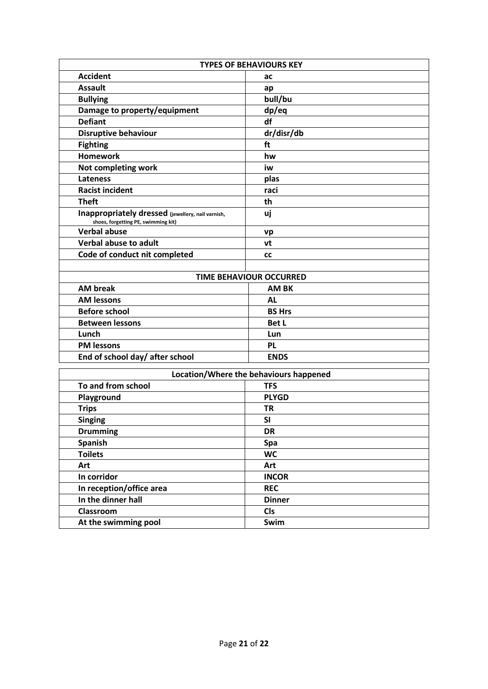| <b>TYPES OF BEHAVIOURS KEY</b>                                                           |                         |  |
|------------------------------------------------------------------------------------------|-------------------------|--|
| <b>Accident</b>                                                                          | ac                      |  |
| <b>Assault</b>                                                                           | ap                      |  |
| <b>Bullying</b>                                                                          | bull/bu                 |  |
| Damage to property/equipment                                                             | dp/eq                   |  |
| <b>Defiant</b>                                                                           | df                      |  |
| <b>Disruptive behaviour</b>                                                              | dr/disr/db              |  |
| <b>Fighting</b>                                                                          | ft                      |  |
| <b>Homework</b>                                                                          | hw                      |  |
| Not completing work                                                                      | iw                      |  |
| <b>Lateness</b>                                                                          | plas                    |  |
| <b>Racist incident</b>                                                                   | raci                    |  |
| <b>Theft</b>                                                                             | th                      |  |
| Inappropriately dressed (jewellery, nail varnish,<br>shoes, forgetting PE, swimming kit) | uj                      |  |
| <b>Verbal abuse</b>                                                                      | vp                      |  |
| <b>Verbal abuse to adult</b>                                                             | vt                      |  |
| Code of conduct nit completed                                                            | <b>CC</b>               |  |
|                                                                                          |                         |  |
|                                                                                          | TIME BEHAVIOUR OCCURRED |  |
| <b>AM break</b>                                                                          | <b>AM BK</b>            |  |
| <b>AM lessons</b>                                                                        | AL                      |  |
| <b>Before school</b>                                                                     | <b>BS Hrs</b>           |  |
| <b>Between lessons</b>                                                                   | <b>Bet L</b>            |  |
| Lunch                                                                                    | Lun                     |  |
| <b>PM lessons</b>                                                                        | <b>PL</b>               |  |
| End of school day/ after school                                                          | <b>ENDS</b>             |  |
| I ocation/Where the hebaviours hannened                                                  |                         |  |

| Location/Where the behaviours happened |               |
|----------------------------------------|---------------|
| To and from school                     | <b>TFS</b>    |
| Playground                             | <b>PLYGD</b>  |
| <b>Trips</b>                           | TR            |
| <b>Singing</b>                         | <b>SI</b>     |
| <b>Drumming</b>                        | <b>DR</b>     |
| Spanish                                | Spa           |
| <b>Toilets</b>                         | <b>WC</b>     |
| Art                                    | Art           |
| In corridor                            | <b>INCOR</b>  |
| In reception/office area               | <b>REC</b>    |
| In the dinner hall                     | <b>Dinner</b> |
| Classroom                              | <b>Cls</b>    |
| At the swimming pool                   | Swim          |